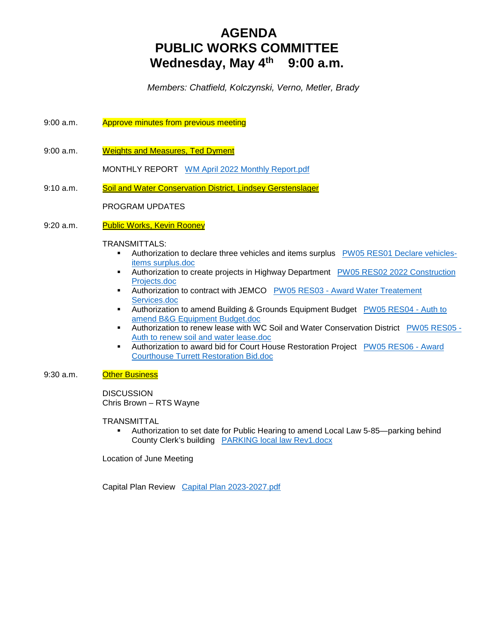# **AGENDA PUBLIC WORKS COMMITTEE Wednesday, May 4th 9:00 a.m.**

 *Members: Chatfield, Kolczynski, Verno, Metler, Brady*

- 9:00 a.m. Approve minutes from previous meeting
- 9:00 a.m. Weights and Measures, Ted Dyment

MONTHLY REPORT WM April 2022 Monthly Report.pdf

9:10 a.m. Soil and Water Conservation District, Lindsey Gerstenslager

#### PROGRAM UPDATES

9:20 a.m. Public Works, Kevin Rooney

#### TRANSMITTALS:

- **Authorization to declare three vehicles and items surplus PW05 RES01 Declare vehicles**items surplus.doc
- Authorization to create projects in Highway Department PW05 RES02 2022 Construction Projects.doc
- Authorization to contract with JEMCO PW05 RES03 Award Water Treatement Services.doc
- Authorization to amend Building & Grounds Equipment Budget PW05 RES04 Auth to amend B&G Equipment Budget.doc
- Authorization to renew lease with WC Soil and Water Conservation District PW05 RES05 Auth to renew soil and water lease.doc
- Authorization to award bid for Court House Restoration Project PW05 RES06 Award Courthouse Turrett Restoration Bid.doc

#### 9:30 a.m. **Other Business**

DISCUSSION Chris Brown – RTS Wayne

#### TRANSMITTAL

 Authorization to set date for Public Hearing to amend Local Law 5-85—parking behind County Clerk's building PARKING local law Rev1.docx

Location of June Meeting

Capital Plan Review Capital Plan 2023-2027.pdf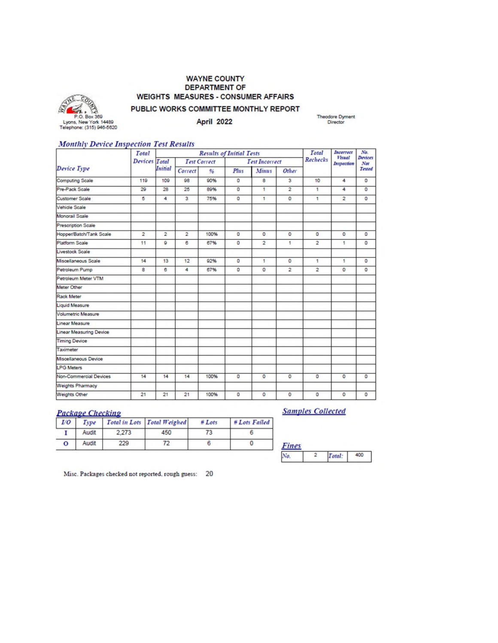#### **WAYNE COUNTY DEPARTMENT OF WEIGHTS MEASURES - CONSUMER AFFAIRS**



PUBLIC WORKS COMMITTEE MONTHLY REPORT **April 2022** 

Theodore Dyment<br>Director

#### **Monthly Device Inspection Test Results**

|                                | Total          | <b>Results of Initial Tests</b> |                     |      |         |                       |                | Total          | Incorrect<br><b>Visual</b> | No.<br><b>Devices</b> |
|--------------------------------|----------------|---------------------------------|---------------------|------|---------|-----------------------|----------------|----------------|----------------------------|-----------------------|
| Device Type                    | Devices        | Total                           | <b>Test Correct</b> |      |         | <b>Test Incorrect</b> |                | Rechecks       | Inspection                 | Not                   |
|                                |                | <b>Initial</b>                  | Correct             | 96   | Plus    | <b>Minus</b>          | Other          |                |                            | Tested                |
| <b>Computing Scale</b>         | 119            | 109                             | 98                  | 90%  | $\circ$ | 8                     | 3              | 10             | 4                          | o                     |
| Pre-Pack Scale                 | 29             | 28                              | 25                  | 89%  | $\circ$ | 1                     | $\overline{2}$ | 1              | 4                          | $\mathbf 0$           |
| <b>Customer Scale</b>          | 5              | 4                               | 3                   | 75%  | $\circ$ | 1                     | $\circ$        | 1              | $\overline{a}$             | $\circ$               |
| Vehicle Scale                  |                |                                 |                     |      |         |                       |                |                |                            |                       |
| Monorail Scale                 |                |                                 |                     |      |         |                       |                |                |                            |                       |
| <b>Prescription Scale</b>      |                |                                 |                     |      |         |                       |                |                |                            |                       |
| Hopper/Batch/Tank Scale        | $\overline{2}$ | $\overline{2}$                  | $\overline{2}$      | 100% | $\circ$ | $\circ$               | $\circ$        | $\Omega$       | o                          | $\circ$               |
| <b>Platform Scale</b>          | 11             | ٥                               | 6                   | 67%  | o       | $\overline{2}$        | 1              | $\overline{2}$ | 1                          | $\circ$               |
| Livestock Scale                |                |                                 |                     |      |         |                       |                |                |                            |                       |
| Miscellaneous Scale            | 14             | 13                              | 12                  | 92%  | $\circ$ | 1                     | $\circ$        | 1              | 1                          | $\circ$               |
| Petroleum Pump                 | 8              | 6                               | 4                   | 67%  | $\circ$ | $\circ$               | $\overline{2}$ | $\overline{2}$ | $\circ$                    | $\circ$               |
| Petroleum Meter VTM            |                |                                 |                     |      |         |                       |                |                |                            |                       |
| Meter Other                    |                |                                 |                     |      |         |                       |                |                |                            |                       |
| Rack Meter                     |                |                                 |                     |      |         |                       |                |                |                            |                       |
| <b>Liquid Measure</b>          |                |                                 |                     |      |         |                       |                |                |                            |                       |
| <b>Volumetric Measure</b>      |                |                                 |                     |      |         |                       |                |                |                            |                       |
| <b>Linear Measure</b>          |                |                                 |                     |      |         |                       |                |                |                            |                       |
| <b>Linear Measuring Device</b> |                |                                 |                     |      |         |                       |                |                |                            |                       |
| <b>Timing Device</b>           |                |                                 |                     |      |         |                       |                |                |                            |                       |
| Taximeter                      |                |                                 |                     |      |         |                       |                |                |                            |                       |
| Miscellaneous Device           |                |                                 |                     |      |         |                       |                |                |                            |                       |
| <b>LPG Meters</b>              |                |                                 |                     |      |         |                       |                |                |                            |                       |
| Non-Commercial Devices         | 14             | 14                              | 14                  | 100% | $\circ$ | o                     | $\circ$        | $\circ$        | $\mathbf 0$                | $\overline{0}$        |
| <b>Weights Pharmacy</b>        |                |                                 |                     |      |         |                       |                |                |                            |                       |
| <b>Weights Other</b>           | 21             | 21                              | 21                  | 100% | $\circ$ | ۰                     | $\circ$        | $\circ$        | $\circ$                    | $\circ$               |

#### **Package Checking**

|  |       |       | <b>I/O</b> Type Total in Lots Total Weighed | $#$ Lots | # Lots Failed |
|--|-------|-------|---------------------------------------------|----------|---------------|
|  | Audit | 2.273 | 450                                         |          |               |
|  | Audit |       |                                             |          |               |

**Samples Collected** 

| <b>The Company</b> |  |  |
|--------------------|--|--|
|                    |  |  |

Misc. Packages checked not reported, rough guess: 20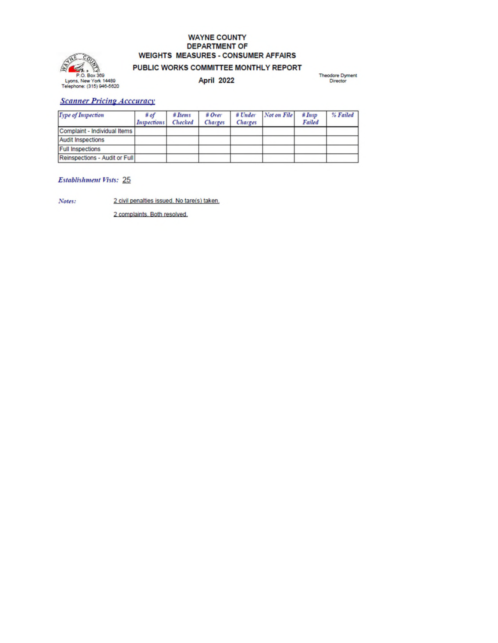# **WAYNE COUNTY DEPARTMENT OF WEIGHTS MEASURES - CONSUMER AFFAIRS**



## PUBLIC WORKS COMMITTEE MONTHLY REPORT

April 2022

Theodore Dyment<br>Director

#### **Scanner Pricing Acccuracy**

| Type of Inspection            | # of<br><b>Inspections</b> | $#$ Items<br>Checked | $#$ Over<br>Charges | $#$ Under<br>Charges | Not on File | #Insp<br>Failed | % Failed |
|-------------------------------|----------------------------|----------------------|---------------------|----------------------|-------------|-----------------|----------|
| Complaint - Individual Items  |                            |                      |                     |                      |             |                 |          |
| <b>Audit Inspections</b>      |                            |                      |                     |                      |             |                 |          |
| <b>Full Inspections</b>       |                            |                      |                     |                      |             |                 |          |
| Reinspections - Audit or Full |                            |                      |                     |                      |             |                 |          |

#### Establishment Vists: 25

2 civil penalties issued. No tare(s) taken. Notes:

2 complaints. Both resolved.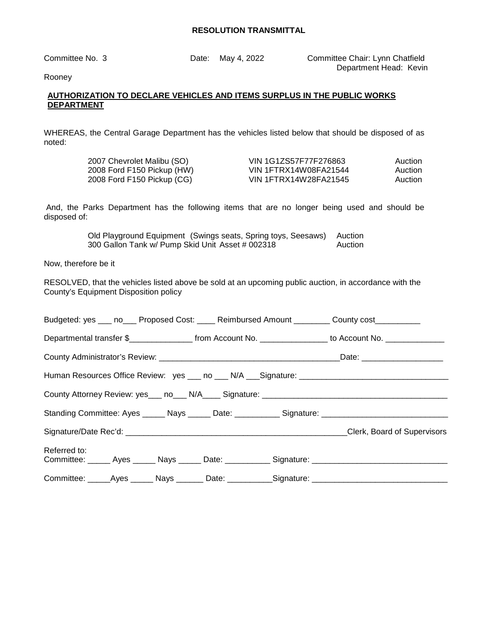Committee No. 3 Date: May 4, 2022 Committee Chair: Lynn Chatfield Department Head: Kevin

Rooney

#### **AUTHORIZATION TO DECLARE VEHICLES AND ITEMS SURPLUS IN THE PUBLIC WORKS DEPARTMENT**

WHEREAS, the Central Garage Department has the vehicles listed below that should be disposed of as noted:

| 2007 Chevrolet Malibu (SO)   | VIN 1G1ZS57F77F276863 | Auction |
|------------------------------|-----------------------|---------|
| 2008 Ford F150 Pickup (HW)_  | VIN 1FTRX14W08FA21544 | Auction |
| 2008 Ford F150 Pickup (CG) _ | VIN 1FTRX14W28FA21545 | Auction |

 And, the Parks Department has the following items that are no longer being used and should be disposed of:

> Old Playground Equipment (Swings seats, Spring toys, Seesaws) Auction 300 Gallon Tank w/ Pump Skid Unit Asset # 002318 Auction

Now, therefore be it

RESOLVED, that the vehicles listed above be sold at an upcoming public auction, in accordance with the County's Equipment Disposition policy

|              |  |  |  |  | Budgeted: yes ___ no___ Proposed Cost: ____ Reimbursed Amount ________ County cost_________                 |  |
|--------------|--|--|--|--|-------------------------------------------------------------------------------------------------------------|--|
|              |  |  |  |  | Departmental transfer \$__________________ from Account No. ________________ to Account No. _______________ |  |
|              |  |  |  |  |                                                                                                             |  |
|              |  |  |  |  |                                                                                                             |  |
|              |  |  |  |  |                                                                                                             |  |
|              |  |  |  |  | Standing Committee: Ayes ______ Nays ______ Date: ___________ Signature: ___________________________        |  |
|              |  |  |  |  |                                                                                                             |  |
| Referred to: |  |  |  |  |                                                                                                             |  |
|              |  |  |  |  | Committee: ______ Ayes ______ Nays ______ Date: ___________ Signature: ____________________________         |  |
|              |  |  |  |  | Committee: ______Ayes _______ Nays ________ Date: ___________Signature: ___________________________         |  |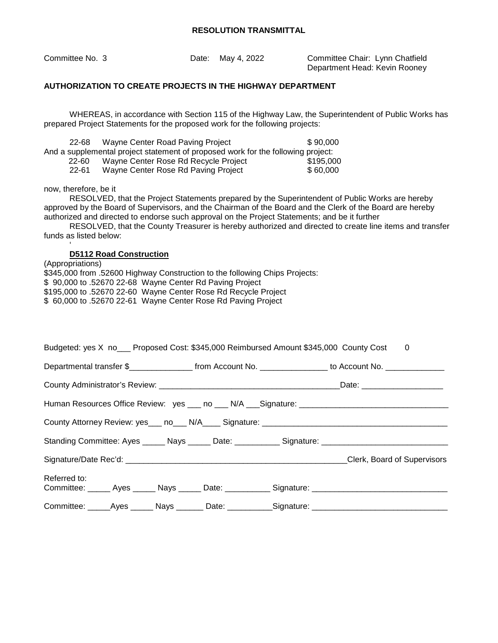| Committee No. 3 | Date: May 4, 2022 | Committee Chair: Lynn Chatfield   |
|-----------------|-------------------|-----------------------------------|
|                 |                   | Desember and Hamel Hardin Damarco |

Department Head: Kevin Rooney

#### **AUTHORIZATION TO CREATE PROJECTS IN THE HIGHWAY DEPARTMENT**

WHEREAS, in accordance with Section 115 of the Highway Law, the Superintendent of Public Works has prepared Project Statements for the proposed work for the following projects:

22-68 Wayne Center Road Paving Project \$ 90,000 And a supplemental project statement of proposed work for the following project: 22-60 Wayne Center Rose Rd Recycle Project \$195,000

22-61 Wayne Center Rose Rd Paving Project \$ 60,000

now, therefore, be it

'

RESOLVED, that the Project Statements prepared by the Superintendent of Public Works are hereby approved by the Board of Supervisors, and the Chairman of the Board and the Clerk of the Board are hereby authorized and directed to endorse such approval on the Project Statements; and be it further

RESOLVED, that the County Treasurer is hereby authorized and directed to create line items and transfer funds as listed below:

#### **D5112 Road Construction**

(Appropriations) \$345,000 from .52600 Highway Construction to the following Chips Projects: \$ 90,000 to .52670 22-68 Wayne Center Rd Paving Project \$195,000 to .52670 22-60 Wayne Center Rose Rd Recycle Project \$ 60,000 to .52670 22-61 Wayne Center Rose Rd Paving Project

|                                                                                                      |  |  |  |  | Budgeted: yes X no Lee Proposed Cost: \$345,000 Reimbursed Amount \$345,000 County Cost 0                   |
|------------------------------------------------------------------------------------------------------|--|--|--|--|-------------------------------------------------------------------------------------------------------------|
|                                                                                                      |  |  |  |  | Departmental transfer \$__________________ from Account No. ________________ to Account No. _______________ |
|                                                                                                      |  |  |  |  |                                                                                                             |
| Human Resources Office Review: yes ___ no ___ N/A ___ Signature: ___________________________________ |  |  |  |  |                                                                                                             |
|                                                                                                      |  |  |  |  | County Attorney Review: yes___ no___ N/A____ Signature: ________________________                            |
|                                                                                                      |  |  |  |  | Standing Committee: Ayes ______ Nays ______ Date: ___________ Signature: ___________________________        |
|                                                                                                      |  |  |  |  |                                                                                                             |
| Referred to:                                                                                         |  |  |  |  | Committee: ______ Ayes ______ Nays ______ Date: ___________ Signature: ____________________________         |
|                                                                                                      |  |  |  |  | Committee: ______Ayes _______ Nays ________ Date: ___________Signature: ___________________________         |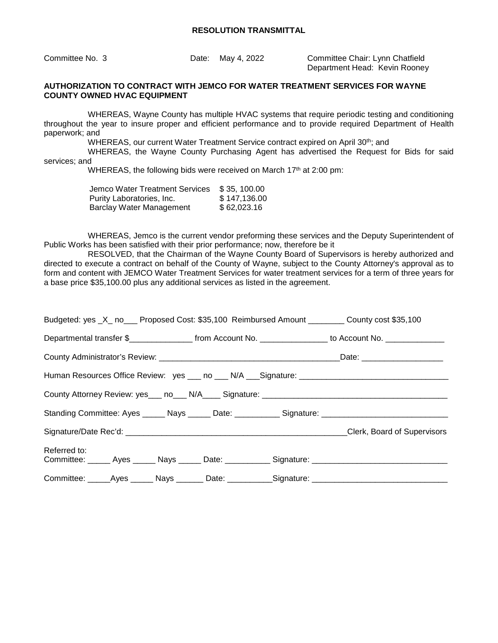Committee No. 3 Date: May 4, 2022 Committee Chair: Lynn Chatfield Department Head: Kevin Rooney

#### **AUTHORIZATION TO CONTRACT WITH JEMCO FOR WATER TREATMENT SERVICES FOR WAYNE COUNTY OWNED HVAC EQUIPMENT**

WHEREAS, Wayne County has multiple HVAC systems that require periodic testing and conditioning throughout the year to insure proper and efficient performance and to provide required Department of Health paperwork; and

WHEREAS, our current Water Treatment Service contract expired on April 30<sup>th</sup>; and

WHEREAS, the Wayne County Purchasing Agent has advertised the Request for Bids for said services; and

WHEREAS, the following bids were received on March 17<sup>th</sup> at 2:00 pm:

| Jemco Water Treatment Services  | \$35, 100.00 |
|---------------------------------|--------------|
| Purity Laboratories, Inc.       | \$147.136.00 |
| <b>Barclay Water Management</b> | \$62,023.16  |

WHEREAS, Jemco is the current vendor preforming these services and the Deputy Superintendent of Public Works has been satisfied with their prior performance; now, therefore be it

RESOLVED, that the Chairman of the Wayne County Board of Supervisors is hereby authorized and directed to execute a contract on behalf of the County of Wayne, subject to the County Attorney's approval as to form and content with JEMCO Water Treatment Services for water treatment services for a term of three years for a base price \$35,100.00 plus any additional services as listed in the agreement.

|              |  |  |  |  | Budgeted: yes _X_ no___ Proposed Cost: \$35,100 Reimbursed Amount ________ County cost \$35,100             |
|--------------|--|--|--|--|-------------------------------------------------------------------------------------------------------------|
|              |  |  |  |  | Departmental transfer \$__________________ from Account No. ________________ to Account No. _______________ |
|              |  |  |  |  |                                                                                                             |
|              |  |  |  |  |                                                                                                             |
|              |  |  |  |  |                                                                                                             |
|              |  |  |  |  |                                                                                                             |
|              |  |  |  |  |                                                                                                             |
| Referred to: |  |  |  |  |                                                                                                             |
|              |  |  |  |  | Committee: ______ Ayes ______ Nays ______ Date: ___________ Signature: ____________________________         |
|              |  |  |  |  | Committee: _____Ayes ______ Nays _______ Date: ___________Signature: ______________________________         |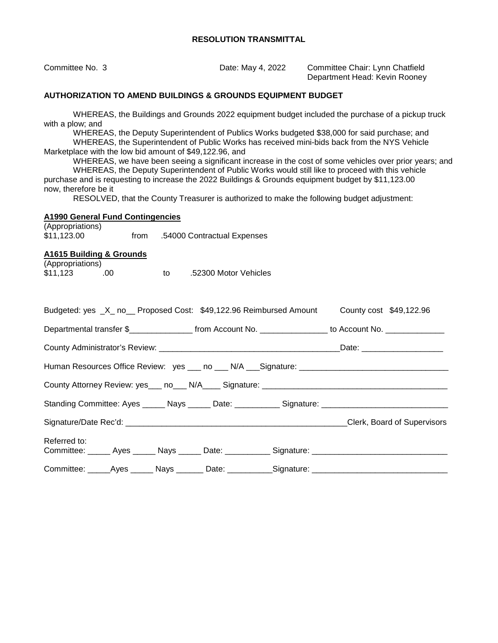| Committee No. 3                                                                                                                                                                                                                                                                                                                                                                                                                                                                                                                                                                                                                                                                                                                                                                                                            | Date: May 4, 2022           | Committee Chair: Lynn Chatfield<br>Department Head: Kevin Rooney |  |  |  |  |
|----------------------------------------------------------------------------------------------------------------------------------------------------------------------------------------------------------------------------------------------------------------------------------------------------------------------------------------------------------------------------------------------------------------------------------------------------------------------------------------------------------------------------------------------------------------------------------------------------------------------------------------------------------------------------------------------------------------------------------------------------------------------------------------------------------------------------|-----------------------------|------------------------------------------------------------------|--|--|--|--|
| <b>AUTHORIZATION TO AMEND BUILDINGS &amp; GROUNDS EQUIPMENT BUDGET</b>                                                                                                                                                                                                                                                                                                                                                                                                                                                                                                                                                                                                                                                                                                                                                     |                             |                                                                  |  |  |  |  |
| WHEREAS, the Buildings and Grounds 2022 equipment budget included the purchase of a pickup truck<br>with a plow; and<br>WHEREAS, the Deputy Superintendent of Publics Works budgeted \$38,000 for said purchase; and<br>WHEREAS, the Superintendent of Public Works has received mini-bids back from the NYS Vehicle<br>Marketplace with the low bid amount of \$49,122.96, and<br>WHEREAS, we have been seeing a significant increase in the cost of some vehicles over prior years; and<br>WHEREAS, the Deputy Superintendent of Public Works would still like to proceed with this vehicle<br>purchase and is requesting to increase the 2022 Buildings & Grounds equipment budget by \$11,123.00<br>now, therefore be it<br>RESOLVED, that the County Treasurer is authorized to make the following budget adjustment: |                             |                                                                  |  |  |  |  |
| <b>A1990 General Fund Contingencies</b><br>(Appropriations)<br>\$11,123.00<br>from                                                                                                                                                                                                                                                                                                                                                                                                                                                                                                                                                                                                                                                                                                                                         | .54000 Contractual Expenses |                                                                  |  |  |  |  |
| <b>A1615 Building &amp; Grounds</b><br>(Appropriations)<br>\$11,123<br>.00.<br>to                                                                                                                                                                                                                                                                                                                                                                                                                                                                                                                                                                                                                                                                                                                                          | .52300 Motor Vehicles       |                                                                  |  |  |  |  |
| Budgeted: yes _X_ no__ Proposed Cost: \$49,122.96 Reimbursed Amount                                                                                                                                                                                                                                                                                                                                                                                                                                                                                                                                                                                                                                                                                                                                                        |                             | County cost \$49,122.96                                          |  |  |  |  |
| Departmental transfer \$_________________ from Account No. _______________ to Account No. _______________                                                                                                                                                                                                                                                                                                                                                                                                                                                                                                                                                                                                                                                                                                                  |                             |                                                                  |  |  |  |  |
|                                                                                                                                                                                                                                                                                                                                                                                                                                                                                                                                                                                                                                                                                                                                                                                                                            |                             |                                                                  |  |  |  |  |
|                                                                                                                                                                                                                                                                                                                                                                                                                                                                                                                                                                                                                                                                                                                                                                                                                            |                             |                                                                  |  |  |  |  |
|                                                                                                                                                                                                                                                                                                                                                                                                                                                                                                                                                                                                                                                                                                                                                                                                                            |                             |                                                                  |  |  |  |  |
| Standing Committee: Ayes _____ Nays _____ Date: __________ Signature: _____________________________                                                                                                                                                                                                                                                                                                                                                                                                                                                                                                                                                                                                                                                                                                                        |                             |                                                                  |  |  |  |  |
|                                                                                                                                                                                                                                                                                                                                                                                                                                                                                                                                                                                                                                                                                                                                                                                                                            |                             |                                                                  |  |  |  |  |
| Referred to:                                                                                                                                                                                                                                                                                                                                                                                                                                                                                                                                                                                                                                                                                                                                                                                                               |                             |                                                                  |  |  |  |  |
| Committee: _____Ayes ______ Nays _______ Date: ___________Signature: ______________________________                                                                                                                                                                                                                                                                                                                                                                                                                                                                                                                                                                                                                                                                                                                        |                             |                                                                  |  |  |  |  |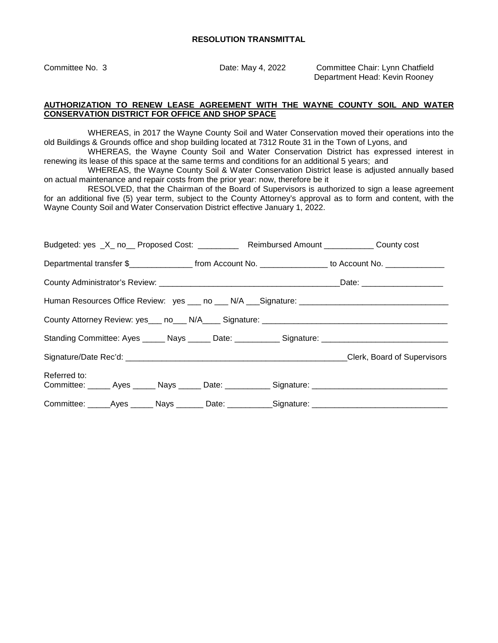Committee No. 3 Date: May 4, 2022 Committee Chair: Lynn Chatfield Department Head: Kevin Rooney

#### **AUTHORIZATION TO RENEW LEASE AGREEMENT WITH THE WAYNE COUNTY SOIL AND WATER CONSERVATION DISTRICT FOR OFFICE AND SHOP SPACE**

WHEREAS, in 2017 the Wayne County Soil and Water Conservation moved their operations into the old Buildings & Grounds office and shop building located at 7312 Route 31 in the Town of Lyons, and

WHEREAS, the Wayne County Soil and Water Conservation District has expressed interest in renewing its lease of this space at the same terms and conditions for an additional 5 years; and

WHEREAS, the Wayne County Soil & Water Conservation District lease is adjusted annually based on actual maintenance and repair costs from the prior year: now, therefore be it

 RESOLVED, that the Chairman of the Board of Supervisors is authorized to sign a lease agreement for an additional five (5) year term, subject to the County Attorney's approval as to form and content, with the Wayne County Soil and Water Conservation District effective January 1, 2022.

| Budgeted: yes _X_ no__ Proposed Cost: ___________ Reimbursed Amount ___________ County cost                 |  |  |
|-------------------------------------------------------------------------------------------------------------|--|--|
| Departmental transfer \$__________________ from Account No. ________________ to Account No. _______________ |  |  |
|                                                                                                             |  |  |
|                                                                                                             |  |  |
|                                                                                                             |  |  |
| Standing Committee: Ayes ______ Nays ______ Date: ___________ Signature: ___________________________        |  |  |
|                                                                                                             |  |  |
| Referred to:                                                                                                |  |  |
|                                                                                                             |  |  |
| Committee: ______Ayes _______ Nays ________ Date: ___________Signature: ___________________________         |  |  |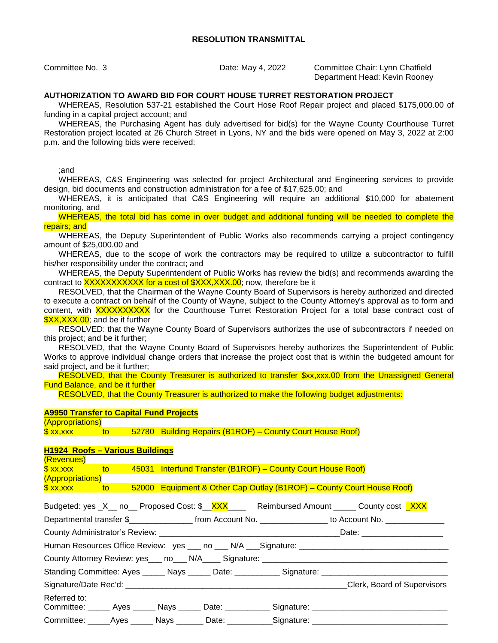Committee No. 3 Date: May 4, 2022 Committee Chair: Lynn Chatfield Department Head: Kevin Rooney

#### **AUTHORIZATION TO AWARD BID FOR COURT HOUSE TURRET RESTORATION PROJECT**

WHEREAS, Resolution 537-21 established the Court Hose Roof Repair project and placed \$175,000.00 of funding in a capital project account; and

WHEREAS, the Purchasing Agent has duly advertised for bid(s) for the Wayne County Courthouse Turret Restoration project located at 26 Church Street in Lyons, NY and the bids were opened on May 3, 2022 at 2:00 p.m. and the following bids were received:

;and

WHEREAS, C&S Engineering was selected for project Architectural and Engineering services to provide design, bid documents and construction administration for a fee of \$17,625.00; and

WHEREAS, it is anticipated that C&S Engineering will require an additional \$10,000 for abatement monitoring, and

WHEREAS, the total bid has come in over budget and additional funding will be needed to complete the repairs; and

WHEREAS, the Deputy Superintendent of Public Works also recommends carrying a project contingency amount of \$25,000.00 and

WHEREAS, due to the scope of work the contractors may be required to utilize a subcontractor to fulfill his/her responsibility under the contract; and

WHEREAS, the Deputy Superintendent of Public Works has review the bid(s) and recommends awarding the contract to XXXXXXXXXXX for a cost of  $\frac{8}{2}$ XXX,XXX.00; now, therefore be it

RESOLVED, that the Chairman of the Wayne County Board of Supervisors is hereby authorized and directed to execute a contract on behalf of the County of Wayne, subject to the County Attorney's approval as to form and content, with XXXXXXXXXX for the Courthouse Turret Restoration Project for a total base contract cost of \$XX, XXX.00; and be it further

RESOLVED: that the Wayne County Board of Supervisors authorizes the use of subcontractors if needed on this project; and be it further;

RESOLVED, that the Wayne County Board of Supervisors hereby authorizes the Superintendent of Public Works to approve individual change orders that increase the project cost that is within the budgeted amount for said project, and be it further;

RESOLVED, that the County Treasurer is authorized to transfer \$xx,xxx.00 from the Unassigned General Fund Balance, and be it further

RESOLVED, that the County Treasurer is authorized to make the following budget adjustments:

#### **A9950 Transfer to Capital Fund Projects**

(Appropriations) \$ xx,xxx to 52780 Building Repairs (B1ROF) – County Court House Roof)

#### **H1924 Roofs – Various Buildings**   $(D_{\text{e}})(\text{e}^{n} \cdot \text{e}^{n})$

| <u>(INGVUINGS)</u>                                                                                         |  |  |  |                                                                                                     |                                                                                                                          |  |  |
|------------------------------------------------------------------------------------------------------------|--|--|--|-----------------------------------------------------------------------------------------------------|--------------------------------------------------------------------------------------------------------------------------|--|--|
|                                                                                                            |  |  |  |                                                                                                     |                                                                                                                          |  |  |
| (Appropriations)                                                                                           |  |  |  |                                                                                                     |                                                                                                                          |  |  |
|                                                                                                            |  |  |  | \$ xx,xxx to 52000 Equipment & Other Cap Outlay (B1ROF) - County Court House Roof)                  |                                                                                                                          |  |  |
|                                                                                                            |  |  |  |                                                                                                     | Budgeted: yes _X__ no__ Proposed Cost: \$__ <mark>XXX</mark> _____ Reimbursed Amount _____ County cost <mark>_XXX</mark> |  |  |
| Departmental transfer \$__________________ from Account No. ________________ to Account No. ______________ |  |  |  |                                                                                                     |                                                                                                                          |  |  |
|                                                                                                            |  |  |  |                                                                                                     |                                                                                                                          |  |  |
|                                                                                                            |  |  |  |                                                                                                     | Human Resources Office Review: yes ___ no ___ N/A ___Signature: ___________________________________                      |  |  |
|                                                                                                            |  |  |  |                                                                                                     |                                                                                                                          |  |  |
|                                                                                                            |  |  |  | Standing Committee: Ayes ______ Nays ______ Date: ___________ Signature: __________________________ |                                                                                                                          |  |  |
|                                                                                                            |  |  |  |                                                                                                     | Clerk, Board of Supervisors                                                                                              |  |  |
| Referred to:                                                                                               |  |  |  |                                                                                                     |                                                                                                                          |  |  |
|                                                                                                            |  |  |  |                                                                                                     | Committee: _____ Ayes _____ Nays _____ Date: __________ Signature: ________________________________                      |  |  |
|                                                                                                            |  |  |  | Committee: _____Ayes _____ Nays ______ Date: __________Signature: ______________                    |                                                                                                                          |  |  |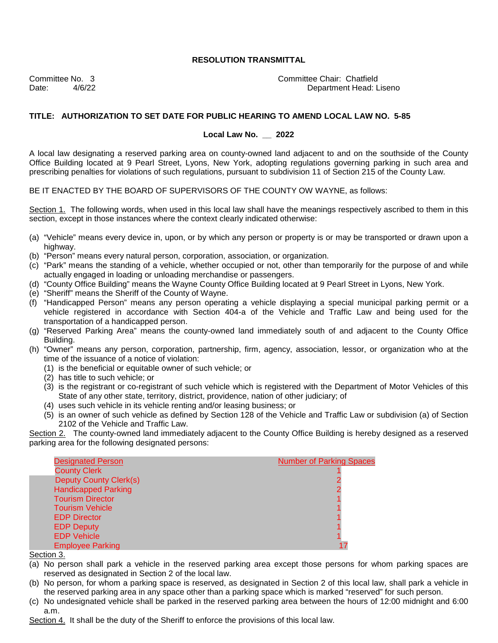Committee No. 3 Committee Chair: Chatfield Date:  $4/6/22$  And  $4/6/22$  Department Head: Liseno

#### **TITLE: AUTHORIZATION TO SET DATE FOR PUBLIC HEARING TO AMEND LOCAL LAW NO. 5-85**

#### **Local Law No. \_\_ 2022**

A local law designating a reserved parking area on county-owned land adjacent to and on the southside of the County Office Building located at 9 Pearl Street, Lyons, New York, adopting regulations governing parking in such area and prescribing penalties for violations of such regulations, pursuant to subdivision 11 of Section 215 of the County Law.

BE IT ENACTED BY THE BOARD OF SUPERVISORS OF THE COUNTY OW WAYNE, as follows:

Section 1. The following words, when used in this local law shall have the meanings respectively ascribed to them in this section, except in those instances where the context clearly indicated otherwise:

- (a) "Vehicle" means every device in, upon, or by which any person or property is or may be transported or drawn upon a highway.
- (b) "Person" means every natural person, corporation, association, or organization.
- (c) "Park" means the standing of a vehicle, whether occupied or not, other than temporarily for the purpose of and while actually engaged in loading or unloading merchandise or passengers.
- (d) "County Office Building" means the Wayne County Office Building located at 9 Pearl Street in Lyons, New York.
- (e) "Sheriff" means the Sheriff of the County of Wayne.
- (f) "Handicapped Person" means any person operating a vehicle displaying a special municipal parking permit or a vehicle registered in accordance with Section 404-a of the Vehicle and Traffic Law and being used for the transportation of a handicapped person.
- (g) "Reserved Parking Area" means the county-owned land immediately south of and adjacent to the County Office Building.
- (h) "Owner" means any person, corporation, partnership, firm, agency, association, lessor, or organization who at the time of the issuance of a notice of violation:
	- (1) is the beneficial or equitable owner of such vehicle; or
	- (2) has title to such vehicle; or
	- (3) is the registrant or co-registrant of such vehicle which is registered with the Department of Motor Vehicles of this State of any other state, territory, district, providence, nation of other judiciary; of
	- (4) uses such vehicle in its vehicle renting and/or leasing business; or
	- (5) is an owner of such vehicle as defined by Section 128 of the Vehicle and Traffic Law or subdivision (a) of Section 2102 of the Vehicle and Traffic Law.

Section 2. The county-owned land immediately adjacent to the County Office Building is hereby designed as a reserved parking area for the following designated persons:



Section 3.

- (a) No person shall park a vehicle in the reserved parking area except those persons for whom parking spaces are reserved as designated in Section 2 of the local law.
- (b) No person, for whom a parking space is reserved, as designated in Section 2 of this local law, shall park a vehicle in the reserved parking area in any space other than a parking space which is marked "reserved" for such person.
- (c) No undesignated vehicle shall be parked in the reserved parking area between the hours of 12:00 midnight and 6:00 a.m.

Section 4. It shall be the duty of the Sheriff to enforce the provisions of this local law.